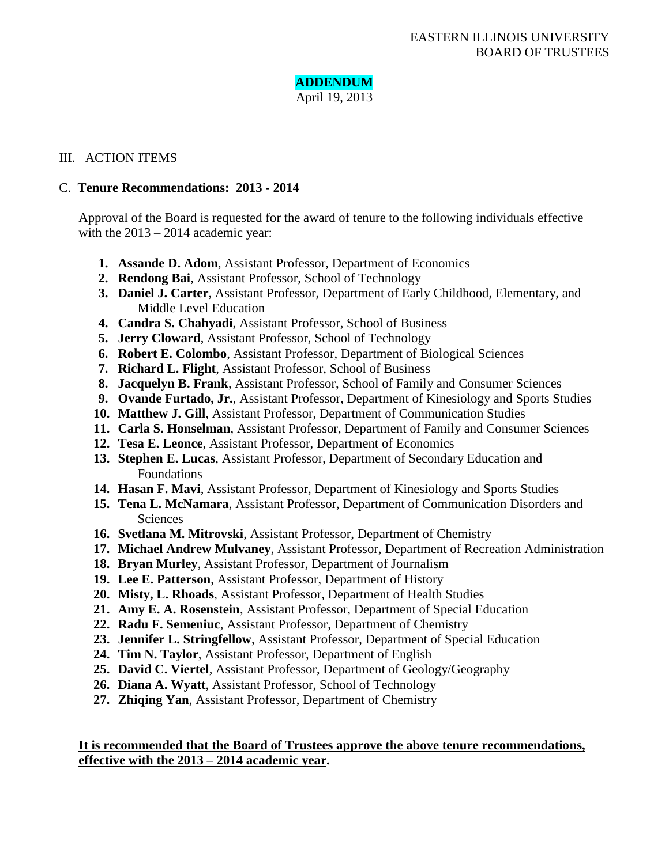# **ADDENDUM**

April 19, 2013

## III. ACTION ITEMS

## C. **Tenure Recommendations: 2013 - 2014**

Approval of the Board is requested for the award of tenure to the following individuals effective with the  $2013 - 2014$  academic year:

- **1. Assande D. Adom**, Assistant Professor, Department of Economics
- **2. Rendong Bai**, Assistant Professor, School of Technology
- **3. Daniel J. Carter**, Assistant Professor, Department of Early Childhood, Elementary, and Middle Level Education
- **4. Candra S. Chahyadi**, Assistant Professor, School of Business
- **5. Jerry Cloward**, Assistant Professor, School of Technology
- **6. Robert E. Colombo**, Assistant Professor, Department of Biological Sciences
- **7. Richard L. Flight**, Assistant Professor, School of Business
- **8. Jacquelyn B. Frank**, Assistant Professor, School of Family and Consumer Sciences
- **9. Ovande Furtado, Jr.**, Assistant Professor, Department of Kinesiology and Sports Studies
- **10. Matthew J. Gill**, Assistant Professor, Department of Communication Studies
- **11. Carla S. Honselman**, Assistant Professor, Department of Family and Consumer Sciences
- **12. Tesa E. Leonce**, Assistant Professor, Department of Economics
- **13. Stephen E. Lucas**, Assistant Professor, Department of Secondary Education and Foundations
- **14. Hasan F. Mavi**, Assistant Professor, Department of Kinesiology and Sports Studies
- **15. Tena L. McNamara**, Assistant Professor, Department of Communication Disorders and **Sciences**
- **16. Svetlana M. Mitrovski**, Assistant Professor, Department of Chemistry
- **17. Michael Andrew Mulvaney**, Assistant Professor, Department of Recreation Administration
- **18. Bryan Murley**, Assistant Professor, Department of Journalism
- **19. Lee E. Patterson**, Assistant Professor, Department of History
- **20. Misty, L. Rhoads**, Assistant Professor, Department of Health Studies
- **21. Amy E. A. Rosenstein**, Assistant Professor, Department of Special Education
- **22. Radu F. Semeniuc**, Assistant Professor, Department of Chemistry
- **23. Jennifer L. Stringfellow**, Assistant Professor, Department of Special Education
- **24. Tim N. Taylor**, Assistant Professor, Department of English
- **25. David C. Viertel**, Assistant Professor, Department of Geology/Geography
- **26. Diana A. Wyatt**, Assistant Professor, School of Technology
- **27. Zhiqing Yan**, Assistant Professor, Department of Chemistry

## **It is recommended that the Board of Trustees approve the above tenure recommendations, effective with the 2013 – 2014 academic year.**